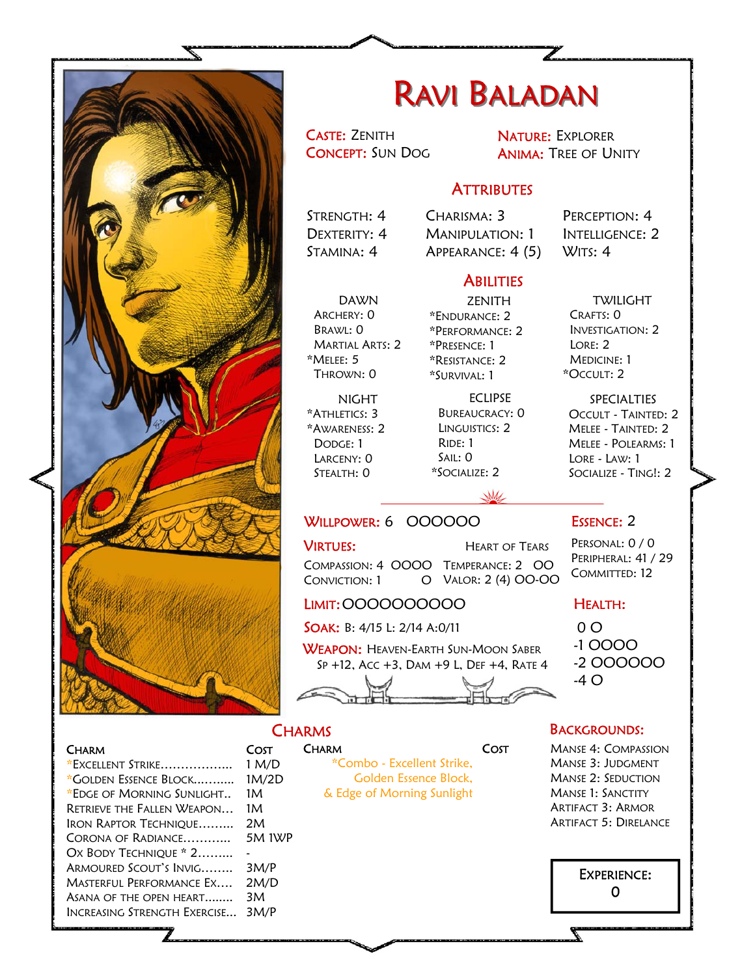

## RAVI BALADAN

CASTE: ZENITH CONCEPT: SUN DOG NATURE: EXPLORER ANIMA: TREE OF UNITY

## **ATTRIBUTES**

STRENGTH: 4 DEXTERITY: 4 STAMINA: 4

CHARISMA: 3 MANIPULATION: 1 APPEARANCE: 4 (5)

PERCEPTION: 4 INTELLIGENCE: 2 WITS: 4

## **ABILITIES**

DAWN ARCHERY: 0 BRAWL: 0 MARTIAL ARTS: 2 \*MELEE: 5 THROWN: 0

NIGHT \*ATHLETICS: 3 \*AWARENESS: 2 DODGE: 1 LARCENY: 0 STEALTH: 0

ZENITH \*ENDURANCE: 2 \*PERFORMANCE: 2 \*PRESENCE: 1 \*RESISTANCE: 2 \*SURVIVAL: 1

ECLIPSE BUREAUCRACY: 0 LINGUISTICS: 2 RIDE: 1 SAIL: 0 \*SOCIALIZE: 2

TWILIGHT CRAFTS: 0 INVESTIGATION: 2 LORE: 2 MEDICINE: 1 \*OCCULT: 2

SPECIALTIES OCCULT - TAINTED: 2 MELEE - TAINTED: 2 MELEE - POLEARMS: 1 LORE - LAW: 1 SOCIALIZE - TING!: 2

## W WILLPOWER: 6 000000

COMPASSION: 4 OOOO TEMPERANCE: 2 OO  $ConvICTION: 1$ **VIRTUES:** HEART OF TEARS VALOR: 2 (4) OO-OO

LIMIT: OOOOOOOOOO

SOAK: B: 4/15 L: 2/14 A:0/11

WEAPON: HEAVEN-EARTH SUN-MOON SABER SP +12, ACC +3, DAM +9 L, DEF +4, RATE 4

**CHARMS** 

COST

**CHARM** 

**COST** 

#### $0<sub>O</sub>$ -1 OOOO

HEALTH:

ESSENCE: 2 PERSONAL: 0 / 0 PERIPHERAL: 41 / 29 COMMITTED: 12

-2 OOOOOO

-4 O

### BACKGROUNDS:

MANSE 4: COMPASSION MANSE 3: JUDGMENT MANSE 2: SEDUCTION MANSE 1: SANCTITY ARTIFACT 3: ARMOR ARTIFACT 5: DIRELANCE



\*EXCELLENT STRIKE……………... 1 M/D \*GOLDEN ESSENCE BLOCK...…..... 1M/2D \*EDGE OF MORNING SUNLIGHT.. RETRIEVE THE FALLEN WEAPON… 1M IRON RAPTOR TECHNIQUE……... 2M CORONA OF RADIANCE………... 5M 1WP OX BODY TECHNIQUE \* 2......... ARMOURED SCOUT'S INVIG…….. 3M/P MASTERFUL PERFORMANCE EX…. 2M/D ASANA OF THE OPEN HEART........ 3M INCREASING STRENGTH EXERCISE... 3M/P 1M

**CHARM** 

## \*Combo - Excellent Strike, Golden Essence Block, & Edge of Morning Sunlight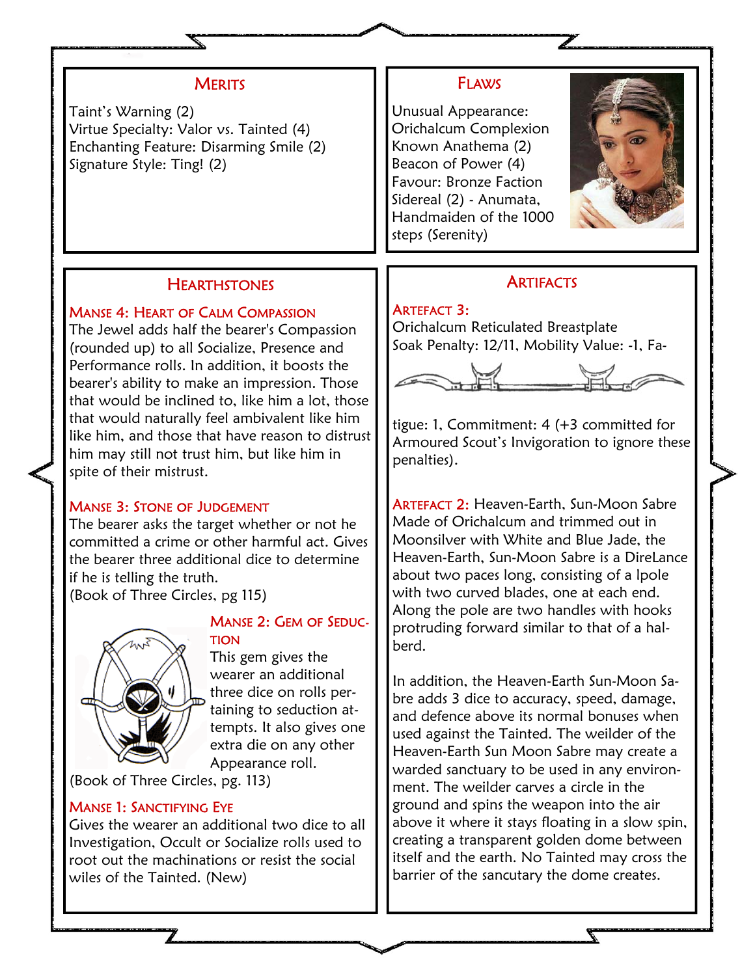## **MERITS**

Taint's Warning (2) Virtue Specialty: Valor vs. Tainted (4) Enchanting Feature: Disarming Smile (2) Signature Style: Ting! (2)

## **HEARTHSTONES**

### MANSE 4: HEART OF CALM COMPASSION

The Jewel adds half the bearer's Compassion (rounded up) to all Socialize, Presence and Performance rolls. In addition, it boosts the bearer's ability to make an impression. Those that would be inclined to, like him a lot, those that would naturally feel ambivalent like him like him, and those that have reason to distrust him may still not trust him, but like him in spite of their mistrust.

## MANSE 3: STONE OF JUDGEMENT

The bearer asks the target whether or not he committed a crime or other harmful act. Gives the bearer three additional dice to determine if he is telling the truth.

(Book of Three Circles, pg 115)



## MANSE 2: GEM OF SEDUC-TION

This gem gives the wearer an additional three dice on rolls pertaining to seduction attempts. It also gives one extra die on any other Appearance roll.

(Book of Three Circles, pg. 113)

## MANSE 1: SANCTIFYING EYE

Gives the wearer an additional two dice to all Investigation, Occult or Socialize rolls used to root out the machinations or resist the social wiles of the Tainted. (New)

## FLAWS

Unusual Appearance: Orichalcum Complexion Known Anathema (2) Beacon of Power (4) Favour: Bronze Faction Sidereal (2) - Anumata, Handmaiden of the 1000 steps (Serenity)



## **ARTIFACTS**

ARTEFACT 3: Orichalcum Reticulated Breastplate Soak Penalty: 12/11, Mobility Value: -1, Fa-



tigue: 1, Commitment: 4 (+3 committed for Armoured Scout's Invigoration to ignore these penalties).

ARTEFACT 2: Heaven-Earth, Sun-Moon Sabre Made of Orichalcum and trimmed out in Moonsilver with White and Blue Jade, the Heaven-Earth, Sun-Moon Sabre is a DireLance about two paces long, consisting of a lpole with two curved blades, one at each end. Along the pole are two handles with hooks protruding forward similar to that of a halberd.

In addition, the Heaven-Earth Sun-Moon Sabre adds 3 dice to accuracy, speed, damage, and defence above its normal bonuses when used against the Tainted. The weilder of the Heaven-Earth Sun Moon Sabre may create a warded sanctuary to be used in any environment. The weilder carves a circle in the ground and spins the weapon into the air above it where it stays floating in a slow spin, creating a transparent golden dome between itself and the earth. No Tainted may cross the barrier of the sancutary the dome creates.

 $\mathbb Z$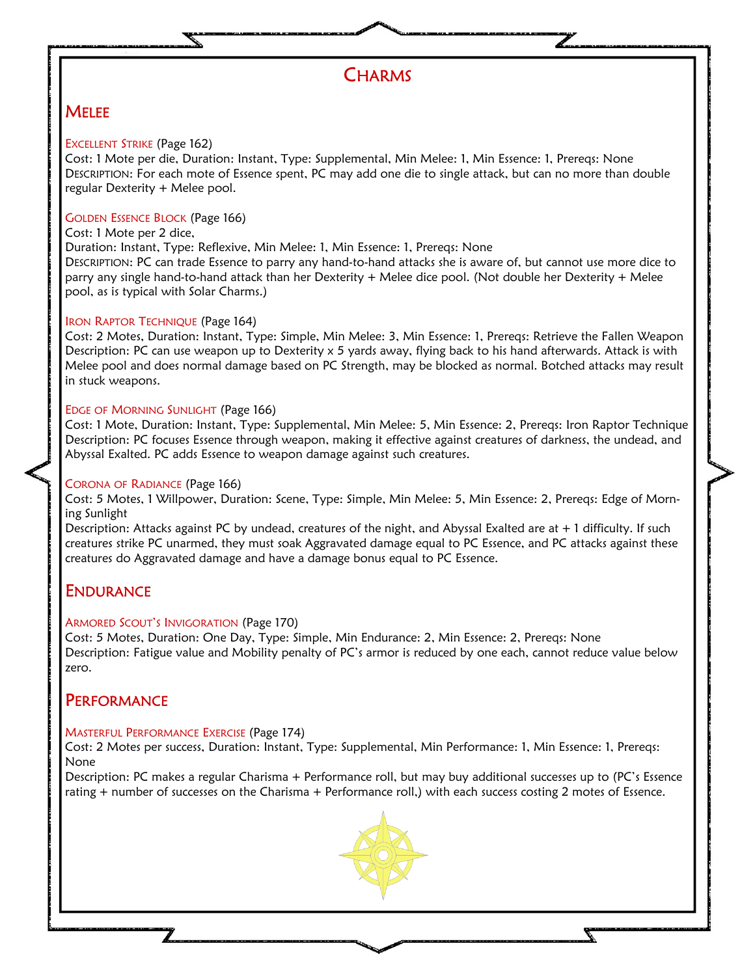

## **MELEE**

#### EXCELLENT STRIKE (Page 162)

Cost: 1 Mote per die, Duration: Instant, Type: Supplemental, Min Melee: 1, Min Essence: 1, Prereqs: None DESCRIPTION: For each mote of Essence spent, PC may add one die to single attack, but can no more than double regular Dexterity + Melee pool.

#### GOLDEN ESSENCE BLOCK (Page 166)

#### Cost: 1 Mote per 2 dice,

Duration: Instant, Type: Reflexive, Min Melee: 1, Min Essence: 1, Prereqs: None

DESCRIPTION: PC can trade Essence to parry any hand-to-hand attacks she is aware of, but cannot use more dice to parry any single hand-to-hand attack than her Dexterity + Melee dice pool. (Not double her Dexterity + Melee pool, as is typical with Solar Charms.)

#### IRON RAPTOR TECHNIQUE (Page 164)

Cost: 2 Motes, Duration: Instant, Type: Simple, Min Melee: 3, Min Essence: 1, Prereqs: Retrieve the Fallen Weapon Description: PC can use weapon up to Dexterity x 5 yards away, flying back to his hand afterwards. Attack is with Melee pool and does normal damage based on PC Strength, may be blocked as normal. Botched attacks may result in stuck weapons.

#### EDGE OF MORNING SUNLIGHT (Page 166)

Cost: 1 Mote, Duration: Instant, Type: Supplemental, Min Melee: 5, Min Essence: 2, Prereqs: Iron Raptor Technique Description: PC focuses Essence through weapon, making it effective against creatures of darkness, the undead, and Abyssal Exalted. PC adds Essence to weapon damage against such creatures.

#### CORONA OF RADIANCE (Page 166)

Cost: 5 Motes, 1 Willpower, Duration: Scene, Type: Simple, Min Melee: 5, Min Essence: 2, Prereqs: Edge of Morning Sunlight

Description: Attacks against PC by undead, creatures of the night, and Abyssal Exalted are at + 1 difficulty. If such creatures strike PC unarmed, they must soak Aggravated damage equal to PC Essence, and PC attacks against these creatures do Aggravated damage and have a damage bonus equal to PC Essence.

## **ENDURANCE**

#### ARMORED SCOUT'S INVIGORATION (Page 170)

Cost: 5 Motes, Duration: One Day, Type: Simple, Min Endurance: 2, Min Essence: 2, Prereqs: None Description: Fatigue value and Mobility penalty of PC's armor is reduced by one each, cannot reduce value below zero.

## **PERFORMANCE**

#### MASTERFUL PERFORMANCE EXERCISE (Page 174)

Cost: 2 Motes per success, Duration: Instant, Type: Supplemental, Min Performance: 1, Min Essence: 1, Prereqs: None

Description: PC makes a regular Charisma + Performance roll, but may buy additional successes up to (PC's Essence rating + number of successes on the Charisma + Performance roll,) with each success costing 2 motes of Essence.



↸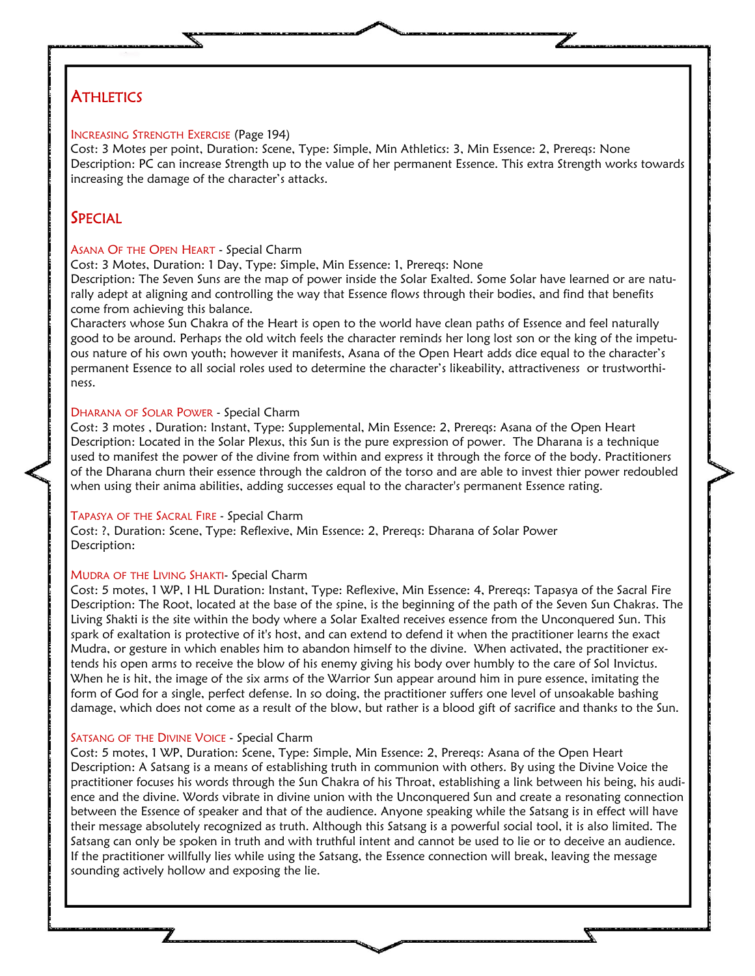## **ATHLETICS**

#### INCREASING STRENGTH EXERCISE (Page 194)

Cost: 3 Motes per point, Duration: Scene, Type: Simple, Min Athletics: 3, Min Essence: 2, Prereqs: None Description: PC can increase Strength up to the value of her permanent Essence. This extra Strength works towards increasing the damage of the character's attacks.

## **SPECIAL**

#### ASANA OF THE OPEN HEART - Special Charm

Cost: 3 Motes, Duration: 1 Day, Type: Simple, Min Essence: 1, Prereqs: None

Description: The Seven Suns are the map of power inside the Solar Exalted. Some Solar have learned or are naturally adept at aligning and controlling the way that Essence flows through their bodies, and find that benefits come from achieving this balance.

Characters whose Sun Chakra of the Heart is open to the world have clean paths of Essence and feel naturally good to be around. Perhaps the old witch feels the character reminds her long lost son or the king of the impetuous nature of his own youth; however it manifests, Asana of the Open Heart adds dice equal to the character's permanent Essence to all social roles used to determine the character's likeability, attractiveness or trustworthiness.

#### DHARANA OF SOLAR POWER - Special Charm

Cost: 3 motes , Duration: Instant, Type: Supplemental, Min Essence: 2, Prereqs: Asana of the Open Heart Description: Located in the Solar Plexus, this Sun is the pure expression of power. The Dharana is a technique used to manifest the power of the divine from within and express it through the force of the body. Practitioners of the Dharana churn their essence through the caldron of the torso and are able to invest thier power redoubled when using their anima abilities, adding successes equal to the character's permanent Essence rating.

#### TAPASYA OF THE SACRAL FIRE - Special Charm

Cost: ?, Duration: Scene, Type: Reflexive, Min Essence: 2, Prereqs: Dharana of Solar Power Description:

#### MUDRA OF THE LIVING SHAKTI- Special Charm

Cost: 5 motes, 1 WP, I HL Duration: Instant, Type: Reflexive, Min Essence: 4, Prereqs: Tapasya of the Sacral Fire Description: The Root, located at the base of the spine, is the beginning of the path of the Seven Sun Chakras. The Living Shakti is the site within the body where a Solar Exalted receives essence from the Unconquered Sun. This spark of exaltation is protective of it's host, and can extend to defend it when the practitioner learns the exact Mudra, or gesture in which enables him to abandon himself to the divine. When activated, the practitioner extends his open arms to receive the blow of his enemy giving his body over humbly to the care of Sol Invictus. When he is hit, the image of the six arms of the Warrior Sun appear around him in pure essence, imitating the form of God for a single, perfect defense. In so doing, the practitioner suffers one level of unsoakable bashing damage, which does not come as a result of the blow, but rather is a blood gift of sacrifice and thanks to the Sun.

#### SATSANG OF THE DIVINE VOICE - Special Charm

Cost: 5 motes, 1 WP, Duration: Scene, Type: Simple, Min Essence: 2, Prereqs: Asana of the Open Heart Description: A Satsang is a means of establishing truth in communion with others. By using the Divine Voice the practitioner focuses his words through the Sun Chakra of his Throat, establishing a link between his being, his audience and the divine. Words vibrate in divine union with the Unconquered Sun and create a resonating connection between the Essence of speaker and that of the audience. Anyone speaking while the Satsang is in effect will have their message absolutely recognized as truth. Although this Satsang is a powerful social tool, it is also limited. The Satsang can only be spoken in truth and with truthful intent and cannot be used to lie or to deceive an audience. If the practitioner willfully lies while using the Satsang, the Essence connection will break, leaving the message sounding actively hollow and exposing the lie.

↸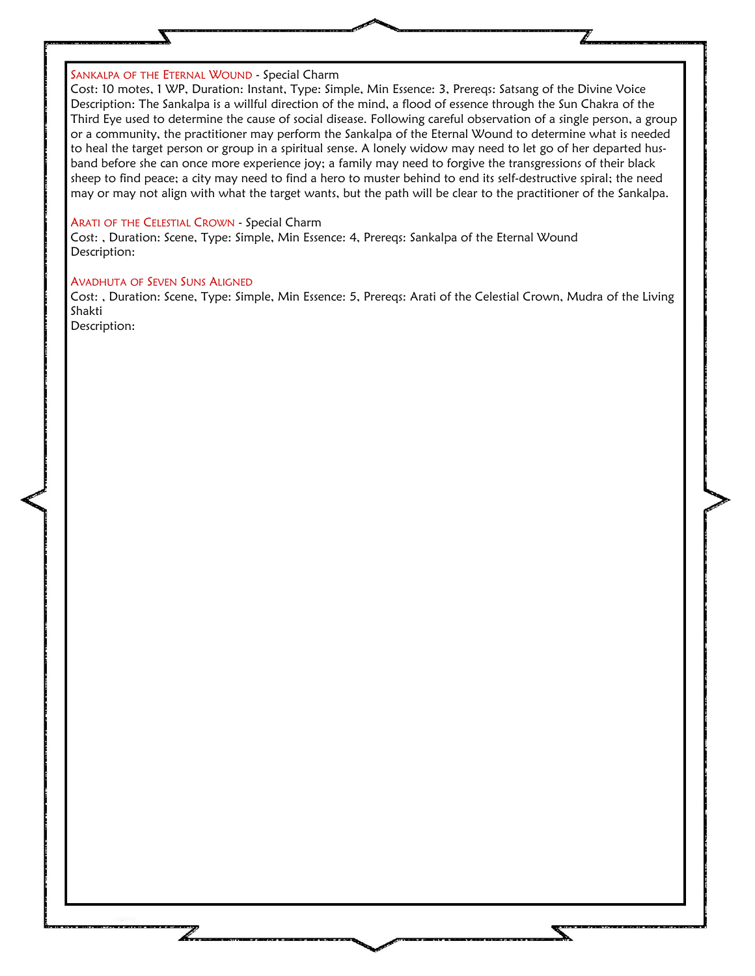#### SANKALPA OF THE ETERNAL WOUND - Special Charm

Cost: 10 motes, 1 WP, Duration: Instant, Type: Simple, Min Essence: 3, Prereqs: Satsang of the Divine Voice Description: The Sankalpa is a willful direction of the mind, a flood of essence through the Sun Chakra of the Third Eye used to determine the cause of social disease. Following careful observation of a single person, a group or a community, the practitioner may perform the Sankalpa of the Eternal Wound to determine what is needed to heal the target person or group in a spiritual sense. A lonely widow may need to let go of her departed husband before she can once more experience joy; a family may need to forgive the transgressions of their black sheep to find peace; a city may need to find a hero to muster behind to end its self-destructive spiral; the need may or may not align with what the target wants, but the path will be clear to the practitioner of the Sankalpa.

#### ARATI OF THE CELESTIAL CROWN - Special Charm

Cost: , Duration: Scene, Type: Simple, Min Essence: 4, Prereqs: Sankalpa of the Eternal Wound Description:

#### AVADHUTA OF SEVEN SUNS ALIGNED

Cost: , Duration: Scene, Type: Simple, Min Essence: 5, Prereqs: Arati of the Celestial Crown, Mudra of the Living Shakti

Description: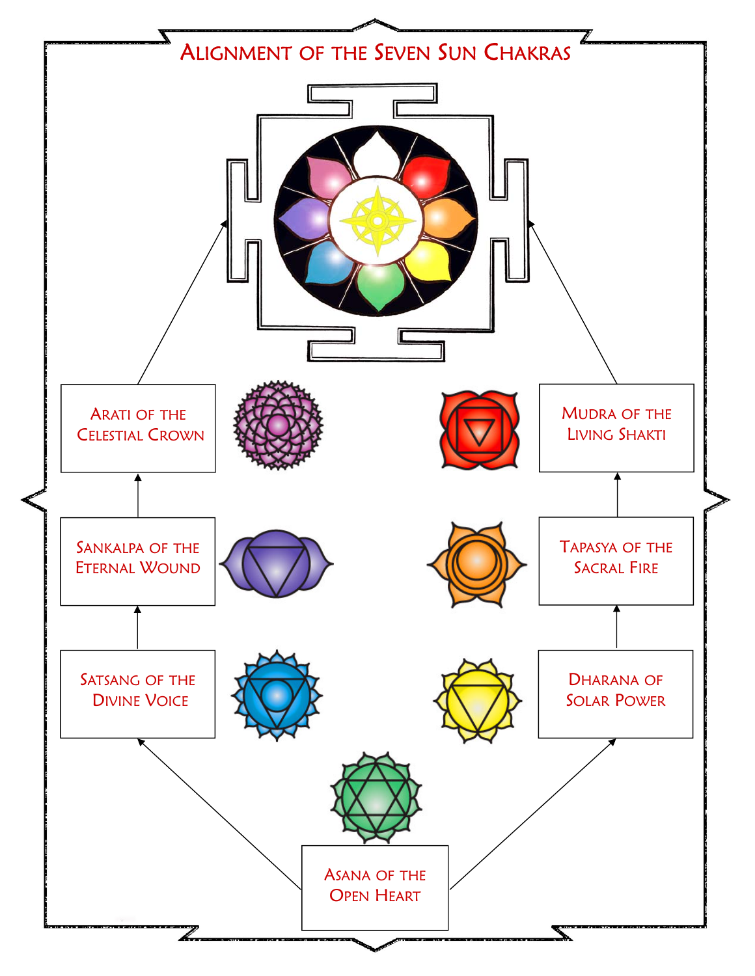